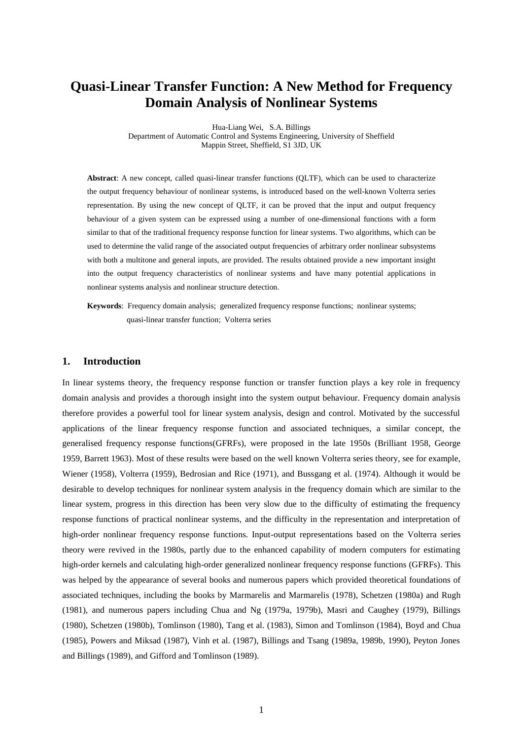# **Quasi-Linear Transfer Function: A New Method for Frequency Domain Analysis of Nonlinear Systems**

Hua-Liang Wei, S.A. Billings Department of Automatic Control and Systems Engineering, University of Sheffield Mappin Street, Sheffield, S1 3JD, UK

**Abstract**: A new concept, called quasi-linear transfer functions (QLTF), which can be used to characterize the output frequency behaviour of nonlinear systems, is introduced based on the well-known Volterra series representation. By using the new concept of QLTF, it can be proved that the input and output frequency behaviour of a given system can be expressed using a number of one-dimensional functions with a form similar to that of the traditional frequency response function for linear systems. Two algorithms, which can be used to determine the valid range of the associated output frequencies of arbitrary order nonlinear subsystems with both a multitone and general inputs, are provided. The results obtained provide a new important insight into the output frequency characteristics of nonlinear systems and have many potential applications in nonlinear systems analysis and nonlinear structure detection.

**Keywords**: Frequency domain analysis; generalized frequency response functions; nonlinear systems; quasi-linear transfer function; Volterra series

### **1. Introduction**

In linear systems theory, the frequency response function or transfer function plays a key role in frequency domain analysis and provides a thorough insight into the system output behaviour. Frequency domain analysis therefore provides a powerful tool for linear system analysis, design and control. Motivated by the successful applications of the linear frequency response function and associated techniques, a similar concept, the generalised frequency response functions(GFRFs), were proposed in the late 1950s (Brilliant 1958, George 1959, Barrett 1963). Most of these results were based on the well known Volterra series theory, see for example, Wiener (1958), Volterra (1959), Bedrosian and Rice (1971), and Bussgang et al. (1974). Although it would be desirable to develop techniques for nonlinear system analysis in the frequency domain which are similar to the linear system, progress in this direction has been very slow due to the difficulty of estimating the frequency response functions of practical nonlinear systems, and the difficulty in the representation and interpretation of high-order nonlinear frequency response functions. Input-output representations based on the Volterra series theory were revived in the 1980s, partly due to the enhanced capability of modern computers for estimating high-order kernels and calculating high-order generalized nonlinear frequency response functions (GFRFs). This was helped by the appearance of several books and numerous papers which provided theoretical foundations of associated techniques, including the books by Marmarelis and Marmarelis (1978), Schetzen (1980a) and Rugh (1981), and numerous papers including Chua and Ng (1979a, 1979b), Masri and Caughey (1979), Billings (1980), Schetzen (1980b), Tomlinson (1980), Tang et al. (1983), Simon and Tomlinson (1984), Boyd and Chua (1985), Powers and Miksad (1987), Vinh et al. (1987), Billings and Tsang (1989a, 1989b, 1990), Peyton Jones and Billings (1989), and Gifford and Tomlinson (1989).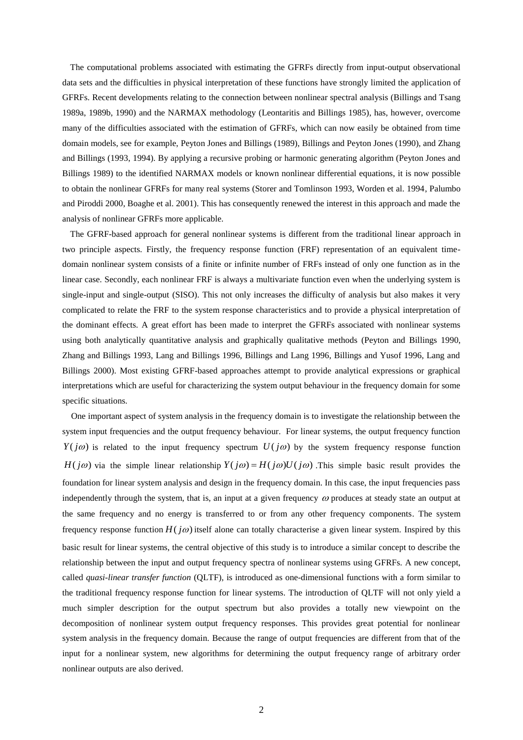The computational problems associated with estimating the GFRFs directly from input-output observational data sets and the difficulties in physical interpretation of these functions have strongly limited the application of GFRFs. Recent developments relating to the connection between nonlinear spectral analysis (Billings and Tsang 1989a, 1989b, 1990) and the NARMAX methodology (Leontaritis and Billings 1985), has, however, overcome many of the difficulties associated with the estimation of GFRFs, which can now easily be obtained from time domain models, see for example, Peyton Jones and Billings (1989), Billings and Peyton Jones (1990), and Zhang and Billings (1993, 1994). By applying a recursive probing or harmonic generating algorithm (Peyton Jones and Billings 1989) to the identified NARMAX models or known nonlinear differential equations, it is now possible to obtain the nonlinear GFRFs for many real systems (Storer and Tomlinson 1993, Worden et al. 1994, Palumbo and Piroddi 2000, Boaghe et al. 2001). This has consequently renewed the interest in this approach and made the analysis of nonlinear GFRFs more applicable.

The GFRF-based approach for general nonlinear systems is different from the traditional linear approach in two principle aspects. Firstly, the frequency response function (FRF) representation of an equivalent timedomain nonlinear system consists of a finite or infinite number of FRFs instead of only one function as in the linear case. Secondly, each nonlinear FRF is always a multivariate function even when the underlying system is single-input and single-output (SISO). This not only increases the difficulty of analysis but also makes it very complicated to relate the FRF to the system response characteristics and to provide a physical interpretation of the dominant effects. A great effort has been made to interpret the GFRFs associated with nonlinear systems using both analytically quantitative analysis and graphically qualitative methods (Peyton and Billings 1990, Zhang and Billings 1993, Lang and Billings 1996, Billings and Lang 1996, Billings and Yusof 1996, Lang and Billings 2000). Most existing GFRF-based approaches attempt to provide analytical expressions or graphical interpretations which are useful for characterizing the system output behaviour in the frequency domain for some specific situations.

 One important aspect of system analysis in the frequency domain is to investigate the relationship between the system input frequencies and the output frequency behaviour. For linear systems, the output frequency function  $Y(j\omega)$  is related to the input frequency spectrum  $U(j\omega)$  by the system frequency response function  $H(j\omega)$  via the simple linear relationship  $Y(j\omega) = H(j\omega)U(j\omega)$ . This simple basic result provides the foundation for linear system analysis and design in the frequency domain. In this case, the input frequencies pass independently through the system, that is, an input at a given frequency  $\omega$  produces at steady state an output at the same frequency and no energy is transferred to or from any other frequency components. The system frequency response function  $H(j\omega)$  itself alone can totally characterise a given linear system. Inspired by this basic result for linear systems, the central objective of this study is to introduce a similar concept to describe the relationship between the input and output frequency spectra of nonlinear systems using GFRFs. A new concept, called *quasi-linear transfer function* (QLTF), is introduced as one-dimensional functions with a form similar to the traditional frequency response function for linear systems. The introduction of QLTF will not only yield a much simpler description for the output spectrum but also provides a totally new viewpoint on the decomposition of nonlinear system output frequency responses. This provides great potential for nonlinear system analysis in the frequency domain. Because the range of output frequencies are different from that of the input for a nonlinear system, new algorithms for determining the output frequency range of arbitrary order nonlinear outputs are also derived.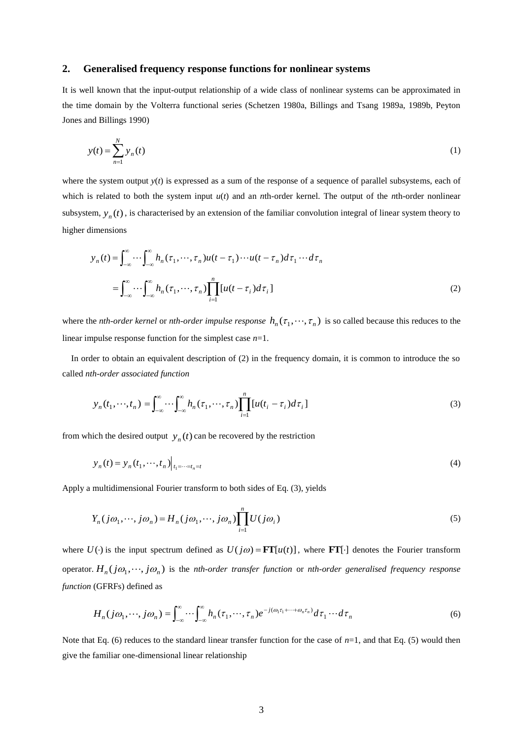### **2. Generalised frequency response functions for nonlinear systems**

It is well known that the input-output relationship of a wide class of nonlinear systems can be approximated in the time domain by the Volterra functional series (Schetzen 1980a, Billings and Tsang 1989a, 1989b, Peyton Jones and Billings 1990)

$$
y(t) = \sum_{n=1}^{N} y_n(t)
$$
 (1)

where the system output  $y(t)$  is expressed as a sum of the response of a sequence of parallel subsystems, each of which is related to both the system input  $u(t)$  and an *n*th-order kernel. The output of the *n*th-order nonlinear subsystem,  $y_n(t)$ , is characterised by an extension of the familiar convolution integral of linear system theory to higher dimensions

$$
y_n(t) = \int_{-\infty}^{\infty} \cdots \int_{-\infty}^{\infty} h_n(\tau_1, \cdots, \tau_n) u(t - \tau_1) \cdots u(t - \tau_n) d\tau_1 \cdots d\tau_n
$$
  

$$
= \int_{-\infty}^{\infty} \cdots \int_{-\infty}^{\infty} h_n(\tau_1, \cdots, \tau_n) \prod_{i=1}^n [u(t - \tau_i) d\tau_i]
$$
 (2)

where the *nth-order kernel* or *nth-order impulse response*  $h_n(\tau_1, \dots, \tau_n)$  is so called because this reduces to the linear impulse response function for the simplest case *n*=1.

 In order to obtain an equivalent description of (2) in the frequency domain, it is common to introduce the so called *nth-order associated function*

$$
y_n(t_1,\dots,t_n) = \int_{-\infty}^{\infty} \dots \int_{-\infty}^{\infty} h_n(\tau_1,\dots,\tau_n) \prod_{i=1}^n [u(t_i - \tau_i) d\tau_i]
$$
\n(3)

from which the desired output  $y_n(t)$  can be recovered by the restriction

$$
y_n(t) = y_n(t_1, \dots, t_n)|_{t_1 = \dots = t_n = t}
$$
\n<sup>(4)</sup>

Apply a multidimensional Fourier transform to both sides of Eq. (3), yields

$$
Y_n(j\omega_1,\cdots,j\omega_n) = H_n(j\omega_1,\cdots,j\omega_n) \prod_{i=1}^n U(j\omega_i)
$$
\n<sup>(5)</sup>

where  $U(\cdot)$  is the input spectrum defined as  $U(j\omega) = FT[u(t)]$ , where FT[ $\cdot$ ] denotes the Fourier transform operator.  $H_n(j\omega_1,\dots,j\omega_n)$  is the *nth-order transfer function* or *nth-order generalised frequency response function* (GFRFs) defined as

$$
H_n(j\omega_1,\cdots,j\omega_n) = \int_{-\infty}^{\infty} \cdots \int_{-\infty}^{\infty} h_n(\tau_1,\cdots,\tau_n) e^{-j(\omega_1\tau_1+\cdots+\omega_n\tau_n)} d\tau_1 \cdots d\tau_n
$$
\n(6)

Note that Eq. (6) reduces to the standard linear transfer function for the case of  $n=1$ , and that Eq. (5) would then give the familiar one-dimensional linear relationship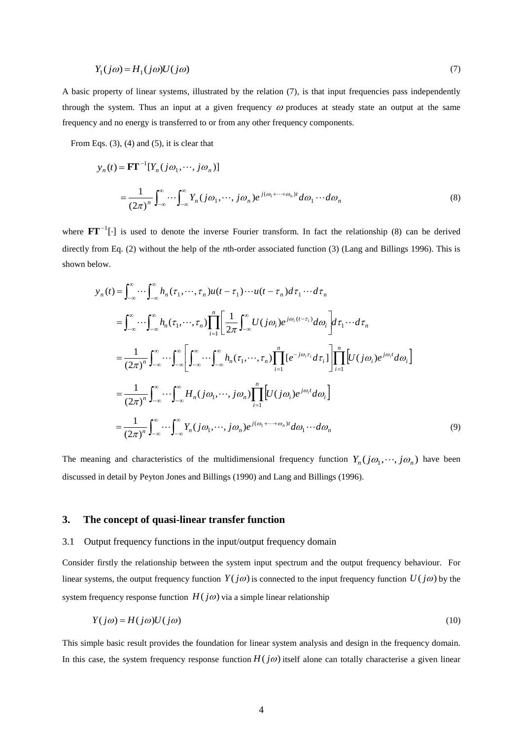$$
Y_1(j\omega) = H_1(j\omega)U(j\omega) \tag{7}
$$

A basic property of linear systems, illustrated by the relation (7), is that input frequencies pass independently through the system. Thus an input at a given frequency  $\omega$  produces at steady state an output at the same frequency and no energy is transferred to or from any other frequency components.

From Eqs.  $(3)$ ,  $(4)$  and  $(5)$ , it is clear that

$$
y_n(t) = \mathbf{F}\mathbf{T}^{-1}[Y_n(j\omega_1, \cdots, j\omega_n)]
$$
  
= 
$$
\frac{1}{(2\pi)^n} \int_{-\infty}^{\infty} \cdots \int_{-\infty}^{\infty} Y_n(j\omega_1, \cdots, j\omega_n) e^{j(\omega_1 + \cdots + \omega_n)t} d\omega_1 \cdots d\omega_n
$$
 (8)

where  $\mathbf{FT}^{-1}[\cdot]$  is used to denote the inverse Fourier transform. In fact the relationship (8) can be derived directly from Eq. (2) without the help of the *n*th-order associated function (3) (Lang and Billings 1996). This is shown below.

$$
y_n(t) = \int_{-\infty}^{\infty} \cdots \int_{-\infty}^{\infty} h_n(\tau_1, \cdots, \tau_n) u(t - \tau_1) \cdots u(t - \tau_n) d\tau_1 \cdots d\tau_n
$$
  
\n
$$
= \int_{-\infty}^{\infty} \cdots \int_{-\infty}^{\infty} h_n(\tau_1, \cdots, \tau_n) \prod_{i=1}^n \left[ \frac{1}{2\pi} \int_{-\infty}^{\infty} U(j\omega_i) e^{j\omega_i(t - \tau_i)} d\omega_i \right] d\tau_1 \cdots d\tau_n
$$
  
\n
$$
= \frac{1}{(2\pi)^n} \int_{-\infty}^{\infty} \cdots \int_{-\infty}^{\infty} \left[ \int_{-\infty}^{\infty} \cdots \int_{-\infty}^{\infty} h_n(\tau_1, \cdots, \tau_n) \prod_{i=1}^n [e^{-j\omega_i \tau_i} d\tau_i] \right] \prod_{i=1}^n [U(j\omega_i) e^{j\omega_i t} d\omega_i]
$$
  
\n
$$
= \frac{1}{(2\pi)^n} \int_{-\infty}^{\infty} \cdots \int_{-\infty}^{\infty} H_n(j\omega_1, \cdots, j\omega_n) \prod_{i=1}^n [U(j\omega_i) e^{j\omega_i t} d\omega_i]
$$
  
\n
$$
= \frac{1}{(2\pi)^n} \int_{-\infty}^{\infty} \cdots \int_{-\infty}^{\infty} Y_n(j\omega_1, \cdots, j\omega_n) e^{j(\omega_1 + \cdots + \omega_n)t} d\omega_1 \cdots d\omega_n
$$
  
\n(9)

The meaning and characteristics of the multidimensional frequency function  $Y_n(j\omega_1, \dots, j\omega_n)$  have been discussed in detail by Peyton Jones and Billings (1990) and Lang and Billings (1996).

### **3. The concept of quasi-linear transfer function**

#### 3.1 Output frequency functions in the input/output frequency domain

Consider firstly the relationship between the system input spectrum and the output frequency behaviour. For linear systems, the output frequency function  $Y(j\omega)$  is connected to the input frequency function  $U(j\omega)$  by the system frequency response function  $H(j\omega)$  via a simple linear relationship

$$
Y(j\omega) = H(j\omega)U(j\omega)
$$
\n<sup>(10)</sup>

This simple basic result provides the foundation for linear system analysis and design in the frequency domain. In this case, the system frequency response function  $H(j\omega)$  itself alone can totally characterise a given linear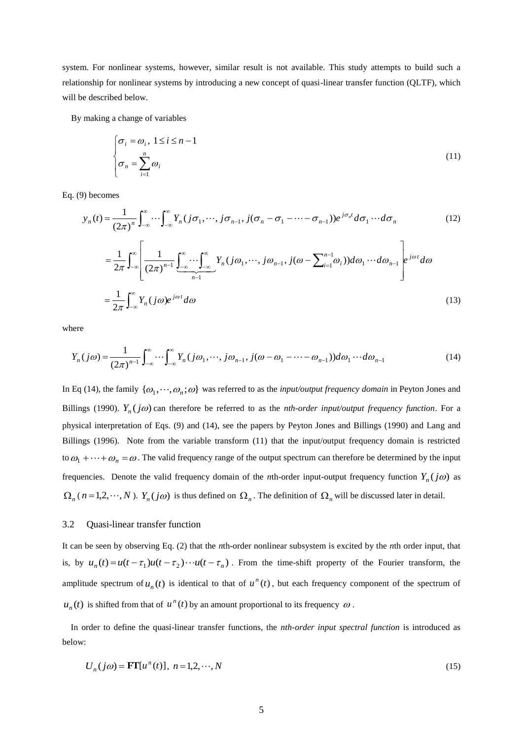system. For nonlinear systems, however, similar result is not available. This study attempts to build such a relationship for nonlinear systems by introducing a new concept of quasi-linear transfer function (QLTF), which will be described below.

By making a change of variables

$$
\begin{cases} \sigma_i = \omega_i, \ 1 \le i \le n - 1 \\ \sigma_n = \sum_{i=1}^n \omega_i \end{cases} \tag{11}
$$

Eq. (9) becomes

$$
y_n(t) = \frac{1}{(2\pi)^n} \int_{-\infty}^{\infty} \cdots \int_{-\infty}^{\infty} Y_n(j\sigma_1, \cdots, j\sigma_{n-1}, j(\sigma_n - \sigma_1 - \cdots - \sigma_{n-1})) e^{j\sigma_n t} d\sigma_1 \cdots d\sigma_n
$$
\n
$$
= \frac{1}{2\pi} \int_{-\infty}^{\infty} \left[ \frac{1}{(2\pi)^{n-1}} \underbrace{\int_{-\infty}^{\infty} \cdots \int_{-\infty}^{\infty}}_{n-1} Y_n(j\omega_1, \cdots, j\omega_{n-1}, j(\omega - \sum_{i=1}^{n-1} \omega_i)) d\omega_1 \cdots d\omega_{n-1} \right] e^{j\omega t} d\omega
$$
\n
$$
= \frac{1}{2\pi} \int_{-\infty}^{\infty} Y_n(j\omega) e^{j\omega t} d\omega
$$
\n(13)

where

$$
Y_n(j\omega) = \frac{1}{(2\pi)^{n-1}} \int_{-\infty}^{\infty} \cdots \int_{-\infty}^{\infty} Y_n(j\omega_1, \cdots, j\omega_{n-1}, j(\omega - \omega_1 - \cdots - \omega_{n-1})) d\omega_1 \cdots d\omega_{n-1}
$$
(14)

In Eq (14), the family  $\{\omega_1, \dots, \omega_n; \omega\}$  was referred to as the *input/output frequency domain* in Peyton Jones and Billings (1990).  $Y_n(j\omega)$  can therefore be referred to as the *nth-order input/output frequency function*. For a physical interpretation of Eqs. (9) and (14), see the papers by Peyton Jones and Billings (1990) and Lang and Billings (1996). Note from the variable transform (11) that the input/output frequency domain is restricted to  $\omega_1 + \cdots + \omega_n = \omega$ . The valid frequency range of the output spectrum can therefore be determined by the input frequencies. Denote the valid frequency domain of the *n*th-order input-output frequency function  $Y_n(j\omega)$  as  $\Omega_n$  ( $n = 1, 2, \dots, N$ ).  $Y_n(j\omega)$  is thus defined on  $\Omega_n$ . The definition of  $\Omega_n$  will be discussed later in detail.

#### 3.2 Quasi-linear transfer function

It can be seen by observing Eq. (2) that the *n*th-order nonlinear subsystem is excited by the *n*th order input, that is, by  $u_n(t) = u(t - \tau_1)u(t - \tau_2) \cdots u(t - \tau_n)$ . From the time-shift property of the Fourier transform, the amplitude spectrum of  $u_n(t)$  is identical to that of  $u^n(t)$ , but each frequency component of the spectrum of  $u_n(t)$  is shifted from that of  $u^n(t)$  by an amount proportional to its frequency  $\omega$ .

In order to define the quasi-linear transfer functions, the *nth-order input spectral function* is introduced as below:

$$
U_n(j\omega) = \mathbf{FT}[u^n(t)], \ n = 1, 2, \cdots, N
$$
\n<sup>(15)</sup>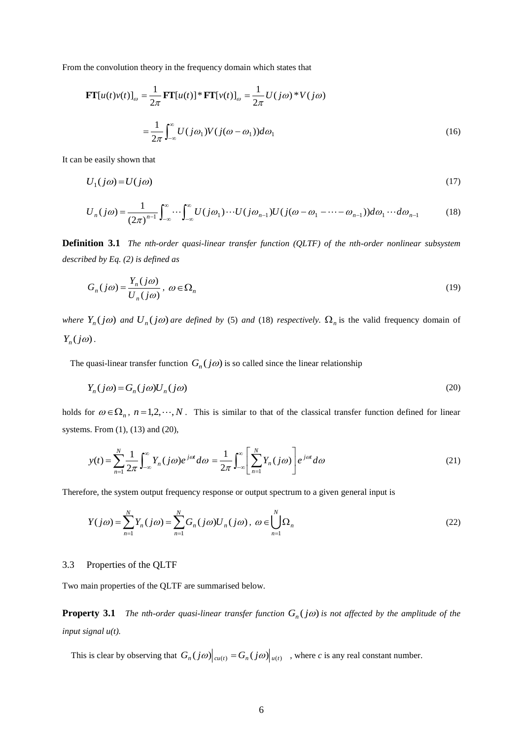From the convolution theory in the frequency domain which states that

$$
\mathbf{FT}[u(t)v(t)]_{\omega} = \frac{1}{2\pi} \mathbf{FT}[u(t)]^* \mathbf{FT}[v(t)]_{\omega} = \frac{1}{2\pi} U(j\omega)^* V(j\omega)
$$

$$
= \frac{1}{2\pi} \int_{-\infty}^{\infty} U(j\omega_1) V(j(\omega - \omega_1)) d\omega_1 \tag{16}
$$

It can be easily shown that

$$
U_1(j\omega) = U(j\omega) \tag{17}
$$

$$
U_n(j\omega) = \frac{1}{(2\pi)^{n-1}} \int_{-\infty}^{\infty} \cdots \int_{-\infty}^{\infty} U(j\omega_1) \cdots U(j\omega_{n-1}) U(j(\omega - \omega_1 - \cdots - \omega_{n-1})) d\omega_1 \cdots d\omega_{n-1}
$$
(18)

**Definition 3.1** *The nth-order quasi-linear transfer function (QLTF) of the nth-order nonlinear subsystem described by Eq. (2) is defined as*

$$
G_n(j\omega) = \frac{Y_n(j\omega)}{U_n(j\omega)}, \ \omega \in \Omega_n \tag{19}
$$

*where*  $Y_n(j\omega)$  *and*  $U_n(j\omega)$  *are defined by* (5) *and* (18) *respectively.*  $\Omega_n$  is the valid frequency domain of  $Y_n(j\omega)$ .

The quasi-linear transfer function  $G_n(j\omega)$  is so called since the linear relationship

$$
Y_n(j\omega) = G_n(j\omega)U_n(j\omega) \tag{20}
$$

holds for  $\omega \in \Omega_n$ ,  $n = 1, 2, \dots, N$ . This is similar to that of the classical transfer function defined for linear systems. From (1), (13) and (20),

$$
y(t) = \sum_{n=1}^{N} \frac{1}{2\pi} \int_{-\infty}^{\infty} Y_n(j\omega) e^{j\omega t} d\omega = \frac{1}{2\pi} \int_{-\infty}^{\infty} \left[ \sum_{n=1}^{N} Y_n(j\omega) \right] e^{j\omega t} d\omega \tag{21}
$$

Therefore, the system output frequency response or output spectrum to a given general input is

$$
Y(j\omega) = \sum_{n=1}^{N} Y_n(j\omega) = \sum_{n=1}^{N} G_n(j\omega) U_n(j\omega), \ \omega \in \bigcup_{n=1}^{N} \Omega_n
$$
\n
$$
(22)
$$

#### 3.3 Properties of the QLTF

Two main properties of the QLTF are summarised below.

**Property 3.1** The nth-order quasi-linear transfer function  $G_n(j\omega)$  is not affected by the amplitude of the *input signal u(t).*

This is clear by observing that  $G_n(j\omega)|_{\alpha(t)} = G_n(j\omega)|_{u(t)}$ , where *c* is any real constant number.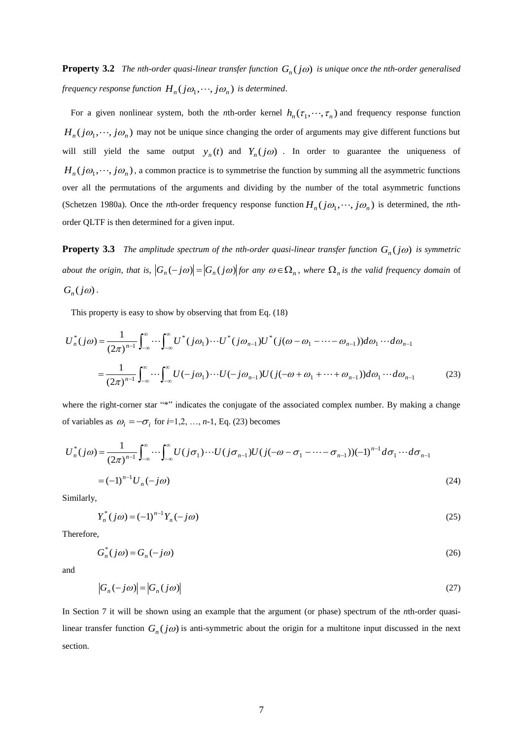**Property 3.2** The nth-order quasi-linear transfer function  $G_n(j\omega)$  is unique once the nth-order generalised *frequency response function*  $H_n(j\omega_1, \dots, j\omega_n)$  *is determined.* 

For a given nonlinear system, both the *n*th-order kernel  $h_n(\tau_1, \dots, \tau_n)$  and frequency response function  $H_n(j\omega_1,\dots,j\omega_n)$  may not be unique since changing the order of arguments may give different functions but will still yield the same output  $y_n(t)$  and  $Y_n(j\omega)$ . In order to guarantee the uniqueness of  $H_n(j\omega_1,\dots,j\omega_n)$ , a common practice is to symmetrise the function by summing all the asymmetric functions over all the permutations of the arguments and dividing by the number of the total asymmetric functions (Schetzen 1980a). Once the *n*th-order frequency response function  $H_n(j\omega_1,\dots,j\omega_n)$  is determined, the *n*thorder QLTF is then determined for a given input.

**Property 3.3** The amplitude spectrum of the nth-order quasi-linear transfer function  $G_n(j\omega)$  is symmetric *about the origin, that is,*  $|G_n(-j\omega)| = |G_n(j\omega)|$  *for any*  $\omega \in \Omega_n$ *, where*  $\Omega_n$  *is the valid frequency domain* of  $G_n(j\omega)$ .

This property is easy to show by observing that from Eq. (18)

$$
U_n^*(j\omega) = \frac{1}{(2\pi)^{n-1}} \int_{-\infty}^{\infty} \cdots \int_{-\infty}^{\infty} U^*(j\omega_1) \cdots U^*(j\omega_{n-1}) U^*(j(\omega - \omega_1 - \cdots - \omega_{n-1})) d\omega_1 \cdots d\omega_{n-1}
$$
  

$$
= \frac{1}{(2\pi)^{n-1}} \int_{-\infty}^{\infty} \cdots \int_{-\infty}^{\infty} U(-j\omega_1) \cdots U(-j\omega_{n-1}) U(j(-\omega + \omega_1 + \cdots + \omega_{n-1})) d\omega_1 \cdots d\omega_{n-1}
$$
(23)

where the right-corner star "\*" indicates the conjugate of the associated complex number. By making a change of variables as  $\omega_i = -\sigma_i$  for  $i=1,2, ..., n-1$ , Eq. (23) becomes

$$
U_n^*(j\omega) = \frac{1}{(2\pi)^{n-1}} \int_{-\infty}^{\infty} \cdots \int_{-\infty}^{\infty} U(j\sigma_1) \cdots U(j\sigma_{n-1}) U(j(-\omega - \sigma_1 - \cdots - \sigma_{n-1})) (-1)^{n-1} d\sigma_1 \cdots d\sigma_{n-1}
$$
  
=  $(-1)^{n-1} U_n(-j\omega)$  (24)

Similarly,

$$
Y_n^*(j\omega) = (-1)^{n-1} Y_n(-j\omega) \tag{25}
$$

Therefore,

$$
G_n^*(j\omega) = G_n(-j\omega) \tag{26}
$$

and

$$
\left|G_n(-j\omega)\right| = \left|G_n(j\omega)\right| \tag{27}
$$

In Section 7 it will be shown using an example that the argument (or phase) spectrum of the *n*th-order quasilinear transfer function  $G_n(j\omega)$  is anti-symmetric about the origin for a multitone input discussed in the next section.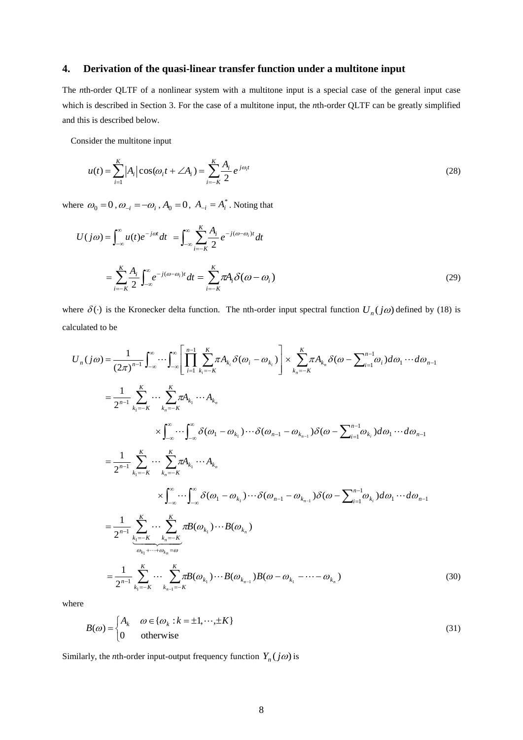### **4. Derivation of the quasi-linear transfer function under a multitone input**

The *n*th-order QLTF of a nonlinear system with a multitone input is a special case of the general input case which is described in Section 3. For the case of a multitone input, the *n*th-order QLTF can be greatly simplified and this is described below.

Consider the multitone input

$$
u(t) = \sum_{i=1}^{K} |A_i| \cos(\omega_i t + \angle A_i) = \sum_{i=-K}^{K} \frac{A_i}{2} e^{j\omega_i t}
$$
 (28)

where  $\omega_0 = 0$ ,  $\omega_{-i} = -\omega_i$ ,  $A_0 = 0$ ,  $A_{-i} = A_i^*$ . Noting that

$$
U(j\omega) = \int_{-\infty}^{\infty} u(t)e^{-j\omega t} dt = \int_{-\infty}^{\infty} \sum_{i=-K}^{K} \frac{A_i}{2} e^{-j(\omega - \omega_i)t} dt
$$

$$
= \sum_{i=-K}^{K} \frac{A_i}{2} \int_{-\infty}^{\infty} e^{-j(\omega - \omega_i)t} dt = \sum_{i=-K}^{K} \pi A_i \delta(\omega - \omega_i)
$$
(29)

where  $\delta(\cdot)$  is the Kronecker delta function. The nth-order input spectral function  $U_n(j\omega)$  defined by (18) is calculated to be

$$
U_{n}(j\omega) = \frac{1}{(2\pi)^{n-1}} \int_{-\infty}^{\infty} \cdots \int_{-\infty}^{\infty} \left[ \prod_{i=1}^{n-1} \sum_{k_{i}=-K}^{K} \pi A_{k_{i}} \delta(\omega_{i} - \omega_{k_{i}}) \right] \times \sum_{k_{n}=-K}^{K} \pi A_{k_{n}} \delta(\omega - \sum_{i=1}^{n-1} \omega_{i}) d\omega_{1} \cdots d\omega_{n-1}
$$
  
\n
$$
= \frac{1}{2^{n-1}} \sum_{k_{1}=-K}^{K} \cdots \sum_{k_{n}=-K}^{K} \pi A_{k_{1}} \cdots A_{k_{n}}
$$
  
\n
$$
\times \int_{-\infty}^{\infty} \cdots \int_{-\infty}^{\infty} \delta(\omega_{1} - \omega_{k_{1}}) \cdots \delta(\omega_{n-1} - \omega_{k_{n-1}}) \delta(\omega - \sum_{i=1}^{n-1} \omega_{k_{i}}) d\omega_{1} \cdots d\omega_{n-1}
$$
  
\n
$$
= \frac{1}{2^{n-1}} \sum_{k_{1}=-K}^{K} \cdots \sum_{k_{n}=-K}^{K} \pi A_{k_{1}} \cdots A_{k_{n}}
$$
  
\n
$$
\times \int_{-\infty}^{\infty} \cdots \int_{-\infty}^{\infty} \delta(\omega_{1} - \omega_{k_{1}}) \cdots \delta(\omega_{n-1} - \omega_{k_{n-1}}) \delta(\omega - \sum_{i=1}^{n-1} \omega_{k_{i}}) d\omega_{1} \cdots d\omega_{n-1}
$$
  
\n
$$
= \frac{1}{2^{n-1}} \sum_{k_{1}=-K}^{K} \cdots \sum_{k_{n}=-K}^{K} \pi B(\omega_{k_{1}}) \cdots B(\omega_{k_{n}})
$$
  
\n
$$
= \frac{1}{2^{n-1}} \sum_{k_{1}=-K}^{K} \cdots \sum_{k_{n-1}=-K}^{K} \pi B(\omega_{k_{1}}) \cdots B(\omega_{k_{n-1}}) B(\omega - \omega_{k_{1}} - \cdots - \omega_{k_{n}})
$$
  
\n(30)

where

$$
B(\omega) = \begin{cases} A_k & \omega \in \{\omega_k : k = \pm 1, \dots, \pm K\} \\ 0 & \text{otherwise} \end{cases}
$$
(31)

Similarly, the *n*th-order input-output frequency function  $Y_n(j\omega)$  is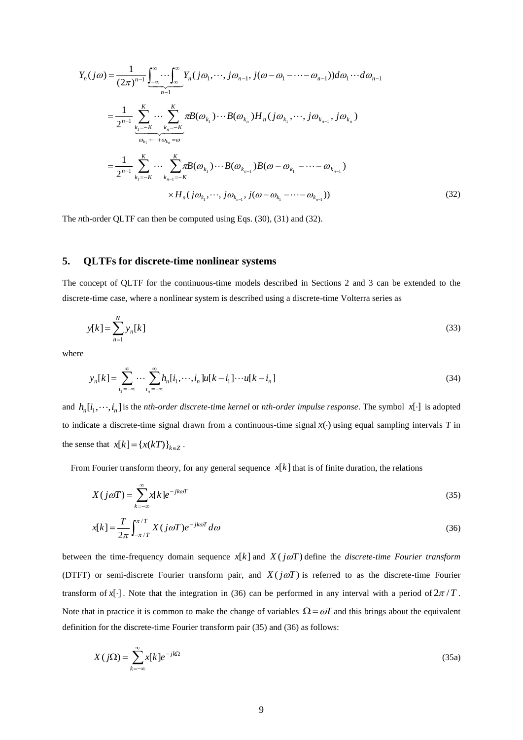$$
Y_{n}(j\omega) = \frac{1}{(2\pi)^{n-1}} \underbrace{\int_{-\infty}^{\infty} \cdots \int_{\infty}^{\infty}}_{n-1} Y_{n}(j\omega_{1}, \cdots, j\omega_{n-1}, j(\omega - \omega_{1} - \cdots - \omega_{n-1})) d\omega_{1} \cdots d\omega_{n-1}
$$
\n
$$
= \frac{1}{2^{n-1}} \sum_{k_{1}=-K}^{K} \cdots \sum_{k_{n}=-K}^{K} \pi B(\omega_{k_{1}}) \cdots B(\omega_{k_{n}}) H_{n}(j\omega_{k_{1}}, \cdots, j\omega_{k_{n-1}}, j\omega_{k_{n}})
$$
\n
$$
= \frac{1}{2^{n-1}} \sum_{k_{1}=-K}^{K} \cdots \sum_{k_{n-1}=-K}^{K} \pi B(\omega_{k_{1}}) \cdots B(\omega_{k_{n-1}}) B(\omega - \omega_{k_{1}} - \cdots - \omega_{k_{n-1}})
$$
\n
$$
\times H_{n}(j\omega_{k_{1}}, \cdots, j\omega_{k_{n-1}}, j(\omega - \omega_{k_{1}} - \cdots - \omega_{k_{n-1}}))
$$
\n(32)

The *n*th-order QLTF can then be computed using Eqs. (30), (31) and (32).

### **5. QLTFs for discrete-time nonlinear systems**

The concept of QLTF for the continuous-time models described in Sections 2 and 3 can be extended to the discrete-time case, where a nonlinear system is described using a discrete-time Volterra series as

$$
y[k] = \sum_{n=1}^{N} y_n[k] \tag{33}
$$

where

$$
y_n[k] = \sum_{i_1 = -\infty}^{\infty} \cdots \sum_{i_n = -\infty}^{\infty} h_n[i_1, \cdots, i_n] u[k - i_1] \cdots u[k - i_n]
$$
\n(34)

and  $h_n[i_1, \dots, i_n]$  is the *nth-order discrete-time kernel* or *nth-order impulse response*. The symbol  $x[\cdot]$  is adopted to indicate a discrete-time signal drawn from a continuous-time signal  $x(\cdot)$  using equal sampling intervals T in the sense that  $x[k] = \{x(kT)\}_{k \in \mathbb{Z}}$ .

From Fourier transform theory, for any general sequence  $x[k]$  that is of finite duration, the relations

$$
X(j\omega T) = \sum_{k=-\infty}^{\infty} x[k]e^{-jk\omega T}
$$
\n(35)

$$
x[k] = \frac{T}{2\pi} \int_{-\pi/T}^{\pi/T} X(j\omega T) e^{-jk\omega T} d\omega
$$
\n(36)

between the time-frequency domain sequence  $x[k]$  and  $X(j\omega T)$  define the *discrete-time Fourier transform* (DTFT) or semi-discrete Fourier transform pair, and  $X(j\omega T)$  is referred to as the discrete-time Fourier transform of  $x[\cdot]$ . Note that the integration in (36) can be performed in any interval with a period of  $2\pi/T$ . Note that in practice it is common to make the change of variables  $\Omega = \omega T$  and this brings about the equivalent definition for the discrete-time Fourier transform pair (35) and (36) as follows:

$$
X(j\Omega) = \sum_{k=-\infty}^{\infty} x[k]e^{-jk\Omega}
$$
 (35a)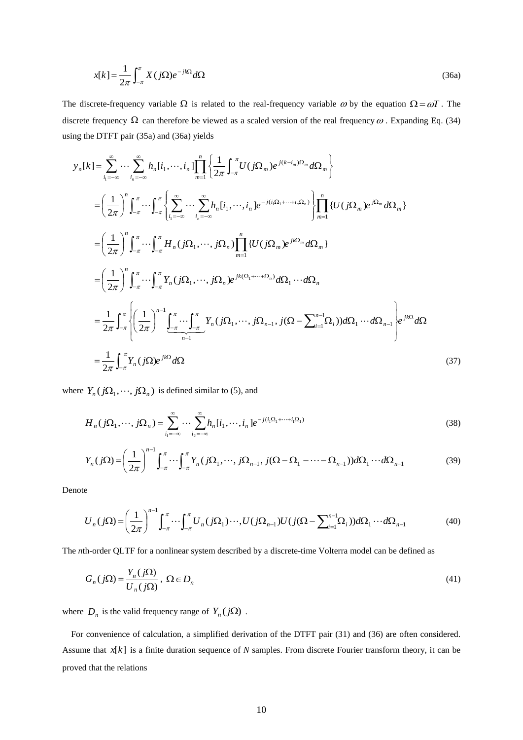$$
x[k] = \frac{1}{2\pi} \int_{-\pi}^{\pi} X(j\Omega) e^{-jk\Omega} d\Omega
$$
\n(36a)

The discrete-frequency variable  $\Omega$  is related to the real-frequency variable  $\omega$  by the equation  $\Omega = \omega T$ . The discrete frequency  $\Omega$  can therefore be viewed as a scaled version of the real frequency  $\omega$ . Expanding Eq. (34) using the DTFT pair (35a) and (36a) yields

$$
x[k] = \frac{1}{2\pi} \int_{-\pi}^{\pi} X f(j\Omega)e^{-jk\Omega} d\Omega
$$
\n(36a)  
\nThe discrete frequency variable  $\Omega$  is related to the real-frequency variable  $\omega$  by the equation  $\Omega = \omega T$ . The  
\ndiscrete frequency  $\Omega$  can therefore be viewed as a scaled version of the real frequency  $\omega$ . Expanding Eq. (34)  
\nusing the DTFT pair (35a) and (36a) yields  
\n
$$
y_n[k] = \sum_{i_1=-\infty}^{\infty} \cdots \sum_{i_n=-\infty}^{\infty} h_n[i_1, \cdots, i_n] \prod_{n=1}^{n} \left\{ \frac{1}{2\pi} \int_{-\pi}^{\pi} U(j\Omega_n) e^{i(k-i_n)\Omega_n} d\Omega_m \right\}
$$
\n
$$
= \left( \frac{1}{2\pi} \right)^n \int_{-\pi}^{\pi} \cdots \int_{-\pi}^{\pi} \left[ \sum_{i_1=-\infty}^{\infty} \cdots \sum_{i_n=-\infty}^{\infty} h_n[i_1, \cdots, i_n] e^{-i(i\Omega_n) + \cdots + i\Omega_n} \right] \prod_{n=1}^{n} \left\{ U(j\Omega_m) e^{j\Omega_m} d\Omega_n \right\}
$$
\n
$$
= \left( \frac{1}{2\pi} \right)^n \int_{-\pi}^{\pi} \cdots \int_{-\pi}^{\pi} H_n(j\Omega_1, \cdots, j\Omega_n) \prod_{n=1}^{n} \left\{ U(j\Omega_m) e^{j\Omega_m} d\Omega_m \right\}
$$
\n
$$
= \frac{1}{2\pi} \int_{-\pi}^{\pi} \left\{ \left( \frac{1}{2\pi} \right)^{n-1} \int_{-\pi}^{\pi} \cdots \int_{-\pi}^{\pi} H_n(j\Omega_1, \cdots, j\Omega_n) e^{jR(\Omega_1, \cdots, \Omega_n)} d\Omega_1 \cdots d\Omega_n \right\}
$$
\n
$$
= \frac{1}{2\pi} \int_{-\pi}^{\pi} \left\{ f_n(j\Omega) e^{jR(2)} d\Omega
$$
\n
$$
= \frac{1}{2\pi} \int_{-\pi}^{\pi} Y_n(j\Omega) e^{jR(2)} d\Omega
$$
\n
$$
H_n(j\Omega
$$

where  $Y_n(j\Omega_1, \dots, j\Omega_n)$  is defined similar to (5), and

$$
H_n(j\Omega_1,\cdots,j\Omega_n) = \sum_{i_1=-\infty}^{\infty} \cdots \sum_{i_2=-\infty}^{\infty} h_n[i_1,\cdots,i_n] e^{-j(i_1\Omega_1+\cdots+i_1\Omega_1)}
$$
(38)

$$
Y_n(j\Omega) = \left(\frac{1}{2\pi}\right)^{n-1} \int_{-\pi}^{\pi} \cdots \int_{-\pi}^{\pi} Y_n(j\Omega_1, \cdots, j\Omega_{n-1}, j(\Omega - \Omega_1 - \cdots - \Omega_{n-1})) d\Omega_1 \cdots d\Omega_{n-1}
$$
(39)

Denote

$$
U_n(j\Omega) = \left(\frac{1}{2\pi}\right)^{n-1} \int_{-\pi}^{\pi} \cdots \int_{-\pi}^{\pi} U_n(j\Omega_1)\cdots U(j\Omega_{n-1}) U(j(\Omega - \sum_{i=1}^{n-1} \Omega_i)) d\Omega_1 \cdots d\Omega_{n-1}
$$
(40)

The *n*th-order QLTF for a nonlinear system described by a discrete-time Volterra model can be defined as

$$
G_n(j\Omega) = \frac{Y_n(j\Omega)}{U_n(j\Omega)}, \ \Omega \in D_n
$$
\n(41)

where  $D_n$  is the valid frequency range of  $Y_n(j\Omega)$ .

 For convenience of calculation, a simplified derivation of the DTFT pair (31) and (36) are often considered. Assume that  $x[k]$  is a finite duration sequence of *N* samples. From discrete Fourier transform theory, it can be proved that the relations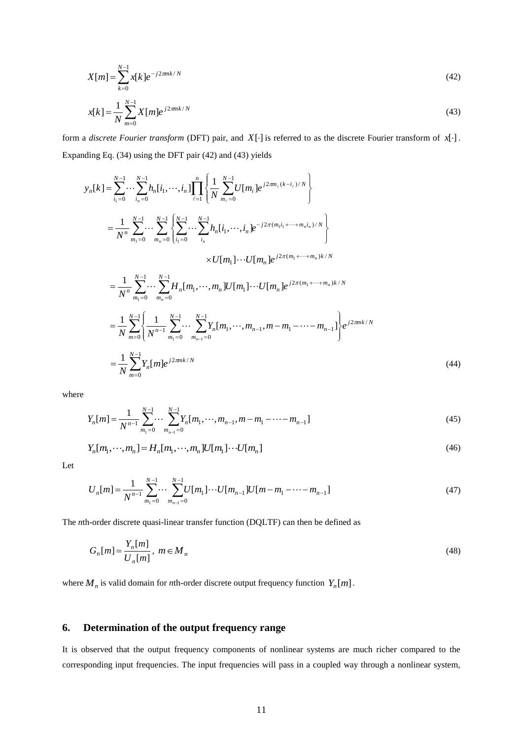$$
X[m] = \sum_{k=0}^{N-1} x[k] e^{-j2\pi mk/N}
$$
\n(42)

$$
x[k] = \frac{1}{N} \sum_{m=0}^{N-1} X[m] e^{j2\pi mk/N}
$$
\n(43)

form a *discrete Fourier transform* (DFT) pair, and  $X[\cdot]$  is referred to as the discrete Fourier transform of  $x[\cdot]$ . Expanding Eq. (34) using the DFT pair (42) and (43) yields

$$
X[m] = \sum_{k=0}^{N} x[k]e^{-j2mk/N}
$$
\n(42)  
\n
$$
x[k] = \frac{1}{N} \sum_{m=0}^{N-1} X[m]e^{j2mk/N}
$$
\n(43)  
\nfrom a discrete Fourier transform (DFT) pair, and X[-1] is referred to as the discrete Fourier transform of x[-1,2,3],  
\n
$$
y_n[k] = \sum_{k=0}^{N-1} \sum_{k=0}^{N-1} h_n[i_1, \dots, i_n] \prod_{l=1}^{n} \left[ \frac{1}{N} \sum_{m_l=0}^{N-1} U[m_l]e^{j2m_l(k-l_l)/N} \right]
$$
\n
$$
= \frac{1}{N^n} \sum_{m_1=0}^{N-1} \sum_{m_2=0}^{N-1} \left[ \sum_{m_1=0}^{N-1} \sum_{m_2=0}^{N-1} h_n[i_1, \dots, i_n]e^{-j2\pi(m_l + \dots + m_l, i_n)/N} \right]
$$
\n
$$
= \frac{1}{N^n} \sum_{m_1=0}^{N-1} \sum_{m_2=0}^{N-1} H_n[m_1, \dots, m_n]U[m_1] \cdots U[m_n]e^{j2\pi(m_1 + \dots + m_n, i_n)/N}
$$
\n
$$
= \frac{1}{N} \sum_{m_1=0}^{N-1} \sum_{m_2=0}^{N-1} H_n[m_1, \dots, m_n]U[m_1] \cdots U[m_n]e^{j2\pi(m_1 + \dots + m_n, i_n)/N}
$$
\n
$$
= \frac{1}{N} \sum_{m_1=0}^{N-1} \sum_{m_2=0}^{N-1} \sum_{m_2=0}^{N-1} \sum_{m_2=0}^{N-1} V_n[m_1, \dots, m_{n-1}, m - m_1 - \dots - m_{n-1}] e^{j2\pi mk/N}
$$
\nwhere  
\n
$$
Y_n[m] = \frac{1}{N^{n-1}} \sum_{m_1=0}^{N-1} \sum_{m_2=0}^{N-1} V_n[m_2, \dots, m_{n-1}, m - m_1 - \dots - m_{n-1}]
$$
\n
$$
Y_n[m_1, \dots, m_n] = H_n[m_1, \dots, m_n]U[m_1] \cdots U[m_n]
$$

where

$$
Y_n[m] = \frac{1}{N^{n-1}} \sum_{m_1=0}^{N-1} \cdots \sum_{m_{n-1}=0}^{N-1} Y_n[m_1, \cdots, m_{n-1}, m-m_1 - \cdots - m_{n-1}]
$$
\n(45)

$$
Y_n[m_1, \cdots, m_n] = H_n[m_1, \cdots, m_n]U[m_1] \cdots U[m_n]
$$
\n
$$
(46)
$$

Let

$$
U_n[m] = \frac{1}{N^{n-1}} \sum_{m_1=0}^{N-1} \cdots \sum_{m_{n-1}=0}^{N-1} U[m_1] \cdots U[m_{n-1}] U[m-m_1-\cdots-m_{n-1}]
$$
\n(47)

The *n*th-order discrete quasi-linear transfer function (DQLTF) can then be defined as

$$
G_n[m] = \frac{Y_n[m]}{U_n[m]}, \ m \in M_n
$$
\n
$$
(48)
$$

where  $M_n$  is valid domain for *n*th-order discrete output frequency function  $Y_n[m]$ .

## **6. Determination of the output frequency range**

It is observed that the output frequency components of nonlinear systems are much richer compared to the corresponding input frequencies. The input frequencies will pass in a coupled way through a nonlinear system,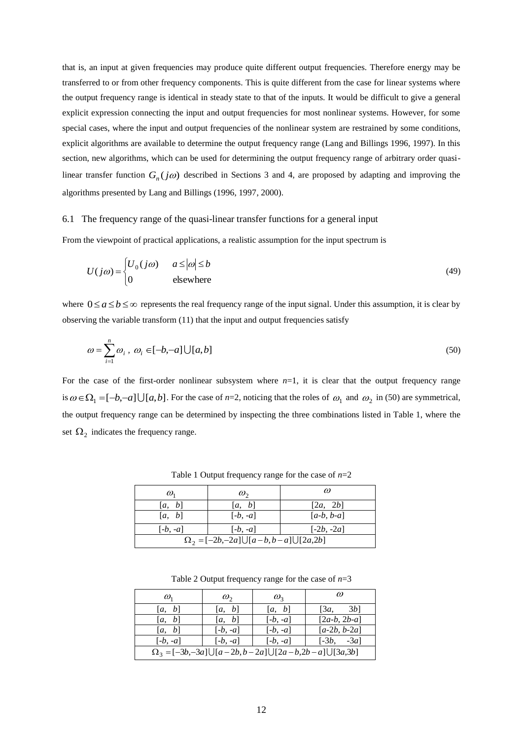that is, an input at given frequencies may produce quite different output frequencies. Therefore energy may be transferred to or from other frequency components. This is quite different from the case for linear systems where the output frequency range is identical in steady state to that of the inputs. It would be difficult to give a general explicit expression connecting the input and output frequencies for most nonlinear systems. However, for some special cases, where the input and output frequencies of the nonlinear system are restrained by some conditions, explicit algorithms are available to determine the output frequency range (Lang and Billings 1996, 1997). In this section, new algorithms, which can be used for determining the output frequency range of arbitrary order quasilinear transfer function  $G_n(j\omega)$  described in Sections 3 and 4, are proposed by adapting and improving the algorithms presented by Lang and Billings (1996, 1997, 2000).

#### 6.1 The frequency range of the quasi-linear transfer functions for a general input

From the viewpoint of practical applications, a realistic assumption for the input spectrum is

$$
U(j\omega) = \begin{cases} U_0(j\omega) & a \le |\omega| \le b \\ 0 & \text{elsewhere} \end{cases}
$$
 (49)

where  $0 \le a \le b \le \infty$  represents the real frequency range of the input signal. Under this assumption, it is clear by observing the variable transform (11) that the input and output frequencies satisfy

$$
\omega = \sum_{i=1}^{n} \omega_i, \ \omega_i \in [-b, -a] \cup [a, b]
$$
\n
$$
(50)
$$

For the case of the first-order nonlinear subsystem where  $n=1$ , it is clear that the output frequency range is  $\omega \in \Omega_1 = [-b, -a] \cup [a, b]$ . For the case of *n*=2, noticing that the roles of  $\omega_1$  and  $\omega_2$  in (50) are symmetrical, the output frequency range can be determined by inspecting the three combinations listed in Table 1, where the set  $\Omega_2$  indicates the frequency range.

| $\omega_{1}$                                       | $\omega_{\gamma}$ | $\omega$     |  |  |
|----------------------------------------------------|-------------------|--------------|--|--|
| [a, b]                                             | [a, b]            | [2a, 2b]     |  |  |
| [a, b]                                             | $[-b, -a]$        | $[a-b, b-a]$ |  |  |
| $[-b, -a]$                                         | $[-b, -a]$        | $[-2b, -2a]$ |  |  |
| $\Omega_2 = [-2b,-2a] \cup [a-b,b-a] \cup [2a,2b]$ |                   |              |  |  |

Table 1 Output frequency range for the case of *n*=2

Table 2 Output frequency range for the case of *n*=3

| $\omega_{1}$                                                              | $\omega_{2}$ | $\omega_{3}$ |                |  |
|---------------------------------------------------------------------------|--------------|--------------|----------------|--|
| [a, b]                                                                    | [a, b]       | [a, b]       | 3b<br>[3a,     |  |
| [a, b]                                                                    | [a, b]       | $[-b, -a]$   | $[2a-b, 2b-a]$ |  |
| [a, b]                                                                    | $[-b, -a]$   | $[-b, -a]$   | $[a-2b, b-2a]$ |  |
| $[-b, -a]$                                                                | $[-b, -a]$   | $[-b, -a]$   | $[-3b, -3a]$   |  |
| $\Omega_3 = [-3b, -3a] \cup [a-2b, b-2a] \cup [2a-b, 2b-a] \cup [3a, 3b]$ |              |              |                |  |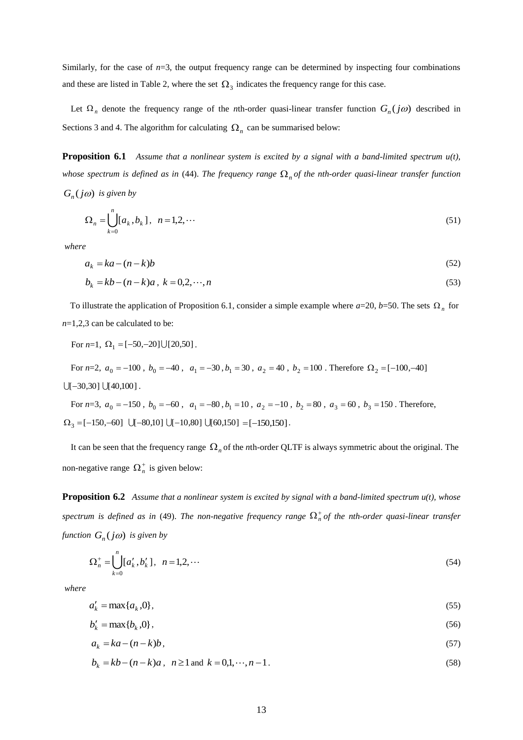Similarly, for the case of  $n=3$ , the output frequency range can be determined by inspecting four combinations and these are listed in Table 2, where the set  $\Omega_3$  indicates the frequency range for this case.

Let  $\Omega_n$  denote the frequency range of the *n*th-order quasi-linear transfer function  $G_n(j\omega)$  described in Sections 3 and 4. The algorithm for calculating  $\Omega_n$  can be summarised below:

**Proposition 6.1** *Assume that a nonlinear system is excited by a signal with a band-limited spectrum u(t),*  whose spectrum is defined as in (44). The frequency range  $\Omega_n$  of the nth-order quasi-linear transfer function  $G_n(j\omega)$  *is given by* 

$$
\Omega_n = \bigcup_{k=0}^n [a_k, b_k], \ \ n = 1, 2, \cdots \tag{51}
$$

*where* 

$$
a_k = ka - (n - k)b \tag{52}
$$

$$
b_k = kb - (n - k)a, \ k = 0, 2, \cdots, n
$$
\n(53)

To illustrate the application of Proposition 6.1, consider a simple example where  $a=20$ ,  $b=50$ . The sets  $\Omega_n$  for *n*=1,2,3 can be calculated to be:

For  $n=1$ ,  $\Omega_1 = [-50, -20] \cup [20, 50]$ .

For 
$$
n=2
$$
,  $a_0 = -100$ ,  $b_0 = -40$ ,  $a_1 = -30$ ,  $b_1 = 30$ ,  $a_2 = 40$ ,  $b_2 = 100$ . Therefore  $\Omega_2 = [-100, -40]$   
 $\bigcup [-30,30] \bigcup [40,100]$ .

For  $n=3$ ,  $a_0 = -150$ ,  $b_0 = -60$ ,  $a_1 = -80$ ,  $b_1 = 10$ ,  $a_2 = -10$ ,  $b_2 = 80$ ,  $a_3 = 60$ ,  $b_3 = 150$ . Therefore,  $\Omega_3 = [-150, -60] \cup [-80, 10] \cup [-10, 80] \cup [60, 150] = [-150, 150]$ .

It can be seen that the frequency range  $\Omega_n$  of the *n*th-order QLTF is always symmetric about the original. The non-negative range  $\Omega_n^+$  is given below:

**Proposition 6.2** *Assume that a nonlinear system is excited by signal with a band-limited spectrum u(t), whose*  spectrum is defined as in (49). The non-negative frequency range  $\Omega_n^+$  of the nth-order quasi-linear transfer *function*  $G_n(j\omega)$  *is given by* 

$$
\Omega_n^+ = \bigcup_{k=0}^n [a'_k, b'_k], \ \ n = 1, 2, \cdots \tag{54}
$$

*where* 

$$
a'_k = \max\{a_k, 0\},\tag{55}
$$

$$
b'_{k} = \max\{b_{k}, 0\},\tag{56}
$$

$$
a_k = ka - (n - k)b,\tag{57}
$$

$$
b_k = kb - (n - k)a, \ \ n \ge 1 \text{ and } \ k = 0, 1, \dots, n - 1. \tag{58}
$$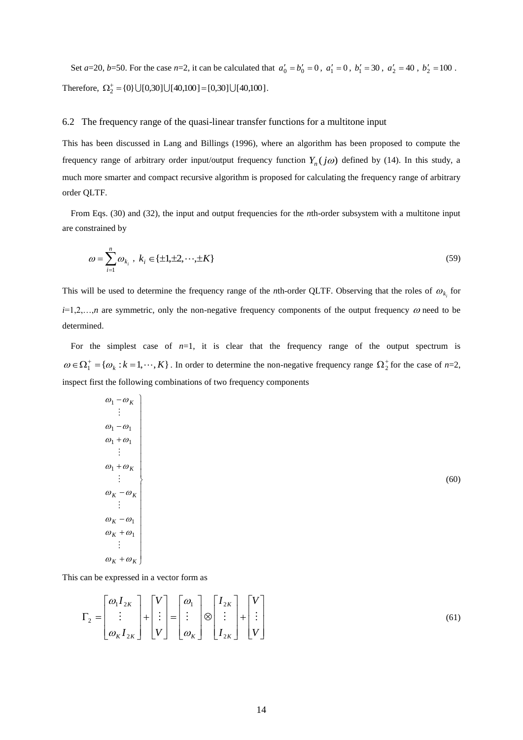Set *a*=20, *b*=50. For the case *n*=2, it can be calculated that  $a'_0 = b'_0 = 0$ ,  $a'_1 = 0$ ,  $b'_1 = 30$ ,  $a'_2 = 40$ ,  $b'_2 = 100$ . Therefore,  $\Omega_2^+ = \{0\} \cup [0,30] \cup [40,100] = [0,30] \cup [40,100]$ .

#### 6.2 The frequency range of the quasi-linear transfer functions for a multitone input

This has been discussed in Lang and Billings (1996), where an algorithm has been proposed to compute the frequency range of arbitrary order input/output frequency function  $Y_n(j\omega)$  defined by (14). In this study, a much more smarter and compact recursive algorithm is proposed for calculating the frequency range of arbitrary order QLTF.

From Eqs. (30) and (32), the input and output frequencies for the *n*th-order subsystem with a multitone input are constrained by

$$
\omega = \sum_{i=1}^{n} \omega_{k_i}, \ k_i \in \{\pm 1, \pm 2, \cdots, \pm K\}
$$
\n(59)

This will be used to determine the frequency range of the *n*th-order QLTF. Observing that the roles of  $\omega_{k_i}$  for  $i=1,2,...,n$  are symmetric, only the non-negative frequency components of the output frequency  $\omega$  need to be determined.

For the simplest case of  $n=1$ , it is clear that the frequency range of the output spectrum is  $\omega \in \Omega_1^+$  = { $\omega_k$  :  $k = 1, \dots, K$ }. In order to determine the non-negative frequency range  $\Omega_2^+$  for the case of *n*=2, inspect first the following combinations of two frequency components

| $\omega_1 - \omega_K$ |  |
|-----------------------|--|
| ÷                     |  |
| $\omega_1 - \omega_1$ |  |
| $\omega_1 + \omega_1$ |  |
|                       |  |
| $\omega_1 + \omega_K$ |  |
| $\ddot{\cdot}$        |  |
| $\omega_K - \omega_K$ |  |
|                       |  |
| $\omega_K - \omega_1$ |  |
| $\omega_K + \omega_1$ |  |
|                       |  |
| $\omega_K + \omega_K$ |  |

This can be expressed in a vector form as

$$
\Gamma_2 = \begin{bmatrix} \omega_1 I_{2K} \\ \vdots \\ \omega_K I_{2K} \end{bmatrix} + \begin{bmatrix} V \\ \vdots \\ V \end{bmatrix} = \begin{bmatrix} \omega_1 \\ \vdots \\ \omega_K \end{bmatrix} \otimes \begin{bmatrix} I_{2K} \\ \vdots \\ I_{2K} \end{bmatrix} + \begin{bmatrix} V \\ \vdots \\ V \end{bmatrix}
$$
\n(61)

(60)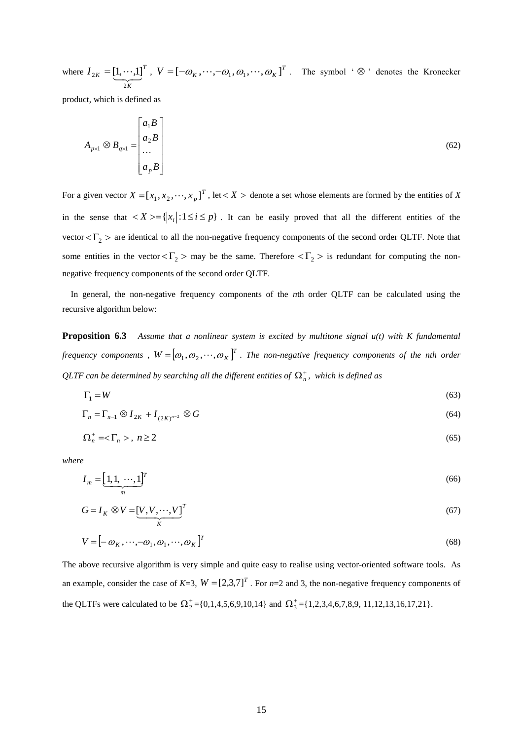where  $I_{2k} = [1, \dots, 1]^T$ *K*  $I_{2K} = \underbrace{[1, \cdots, 1]}$ 2  $T_{2K} = [1, \cdots, 1]^T$ ,  $V = [-\omega_K, \cdots, -\omega_1, \omega_1, \cdots, \omega_K]^T$ . The symbol ' $\otimes$ ' denotes the Kronecker

product, which is defined as

$$
A_{p \times 1} \otimes B_{q \times 1} = \begin{bmatrix} a_1 B \\ a_2 B \\ \dots \\ a_p B \end{bmatrix}
$$
 (62)

For a given vector  $X = [x_1, x_2, \dots, x_p]^T$ , let  $\lt X >$  denote a set whose elements are formed by the entities of X in the sense that  $\langle X \rangle = \{ |x_i| : 1 \le i \le p \}$ . It can be easily proved that all the different entities of the vector  $\langle \Gamma_2 \rangle$  are identical to all the non-negative frequency components of the second order QLTF. Note that some entities in the vector  $\langle \Gamma_2 \rangle$  may be the same. Therefore  $\langle \Gamma_2 \rangle$  is redundant for computing the nonnegative frequency components of the second order QLTF.

In general, the non-negative frequency components of the *n*th order QLTF can be calculated using the recursive algorithm below:

**Proposition 6.3** *Assume that a nonlinear system is excited by multitone signal u(t) with K fundamental*  frequency components,  $W = [\omega_1, \omega_2, \cdots, \omega_K]^T$ . The non-negative frequency components of the nth order  $\mathcal{Q} \mathcal{L} \mathcal{I} \mathcal{F}$  can be determined by searching all the different entities of  $\Omega_n^+$ , which is defined as

$$
\Gamma_1 = W \tag{63}
$$

$$
\Gamma_n = \Gamma_{n-1} \otimes I_{2K} + I_{(2K)^{n-2}} \otimes G \tag{64}
$$

$$
\Omega_n^+ = \langle \Gamma_n \rangle, \ n \ge 2 \tag{65}
$$

*where*

$$
I_m = \underbrace{[1,1,\cdots,1]^T}_{m}
$$
\n<sup>(66)</sup>

$$
G = I_K \otimes V = \underbrace{[V, V, \cdots, V]}_{K}^T
$$
\n<sup>(67)</sup>

$$
V = \left[ -\omega_K, \cdots, -\omega_1, \omega_1, \cdots, \omega_K \right]^T \tag{68}
$$

The above recursive algorithm is very simple and quite easy to realise using vector-oriented software tools. As an example, consider the case of  $K=3$ ,  $W = \begin{bmatrix} 2.3.7 \end{bmatrix}^T$ . For  $n=2$  and 3, the non-negative frequency components of the QLTFs were calculated to be  $\Omega_2^+ = \{0, 1, 4, 5, 6, 9, 10, 14\}$  and  $\Omega_3^+ = \{1, 2, 3, 4, 6, 7, 8, 9, 11, 12, 13, 16, 17, 21\}$ .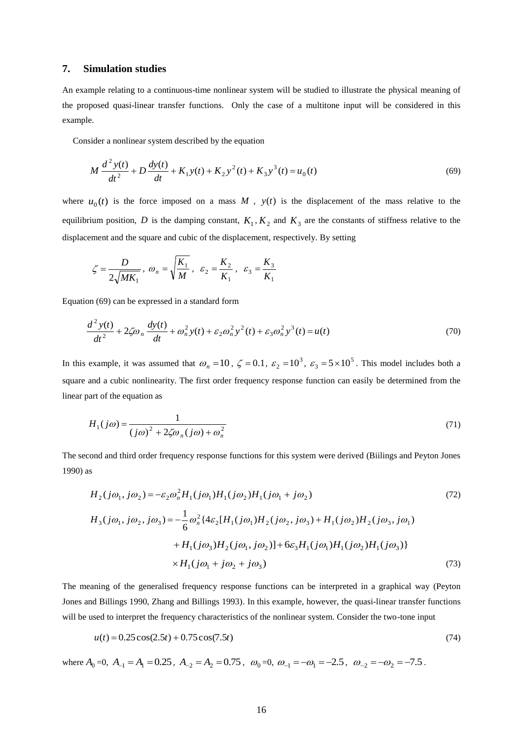### **7. Simulation studies**

An example relating to a continuous-time nonlinear system will be studied to illustrate the physical meaning of the proposed quasi-linear transfer functions. Only the case of a multitone input will be considered in this example.

Consider a nonlinear system described by the equation

$$
M\frac{d^2y(t)}{dt^2} + D\frac{dy(t)}{dt} + K_1y(t) + K_2y^2(t) + K_3y^3(t) = u_0(t)
$$
\n(69)

where  $u_0(t)$  is the force imposed on a mass M,  $y(t)$  is the displacement of the mass relative to the equilibrium position, D is the damping constant,  $K_1, K_2$  and  $K_3$  are the constants of stiffness relative to the displacement and the square and cubic of the displacement, respectively. By setting

$$
\zeta = \frac{D}{2\sqrt{MK_1}}, \ \omega_n = \sqrt{\frac{K_1}{M}}, \ \ \varepsilon_2 = \frac{K_2}{K_1}, \ \ \varepsilon_3 = \frac{K_3}{K_1}
$$

Equation (69) can be expressed in a standard form

$$
\frac{d^2 y(t)}{dt^2} + 2\zeta \omega_n \frac{dy(t)}{dt} + \omega_n^2 y(t) + \varepsilon_2 \omega_n^2 y^2(t) + \varepsilon_3 \omega_n^2 y^3(t) = u(t)
$$
\n(70)

In this example, it was assumed that  $\omega_n = 10$ ,  $\zeta = 0.1$ ,  $\varepsilon_2 = 10^3$ ,  $\varepsilon_3 = 5 \times 10^5$ . This model includes both a square and a cubic nonlinearity. The first order frequency response function can easily be determined from the linear part of the equation as

$$
H_1(j\omega) = \frac{1}{(j\omega)^2 + 2\zeta\omega_n(j\omega) + \omega_n^2}
$$
\n(71)

The second and third order frequency response functions for this system were derived (Biilings and Peyton Jones 1990) as

$$
H_2(j\omega_1, j\omega_2) = -\varepsilon_2 \omega_n^2 H_1(j\omega_1) H_1(j\omega_2) H_1(j\omega_1 + j\omega_2)
$$
\n
$$
H_3(j\omega_1, j\omega_2, j\omega_3) = -\frac{1}{6} \omega_n^2 \{4\varepsilon_2 [H_1(j\omega_1) H_2(j\omega_2, j\omega_3) + H_1(j\omega_2) H_2(j\omega_3, j\omega_1) + H_1(j\omega_3) H_2(j\omega_1, j\omega_2)] + 6\varepsilon_3 H_1(j\omega_1) H_1(j\omega_2) H_1(j\omega_3)\}
$$
\n
$$
\times H_1(j\omega_1 + j\omega_2 + j\omega_3)
$$
\n(73)

The meaning of the generalised frequency response functions can be interpreted in a graphical way (Peyton Jones and Billings 1990, Zhang and Billings 1993). In this example, however, the quasi-linear transfer functions will be used to interpret the frequency characteristics of the nonlinear system. Consider the two-tone input

$$
u(t) = 0.25\cos(2.5t) + 0.75\cos(7.5t)
$$
\n<sup>(74)</sup>

where  $A_0 = 0$ ,  $A_{-1} = A_1 = 0.25$ ,  $A_{-2} = A_2 = 0.75$ ,  $\omega_0 = 0$ ,  $\omega_{-1} = -\omega_1 = -2.5$ ,  $\omega_{-2} = -\omega_2 = -7.5$ .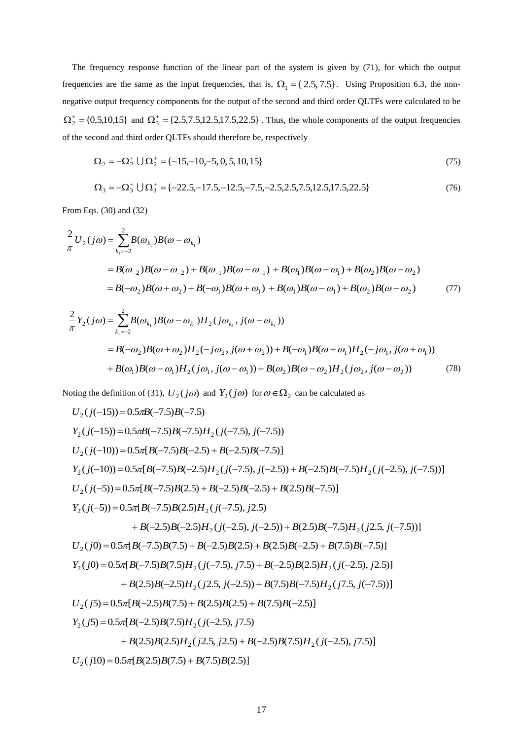The frequency response function of the linear part of the system is given by (71), for which the output frequencies are the same as the input frequencies, that is,  $\Omega_1 = \{2.5, 7.5\}$ . Using Proposition 6.3, the nonnegative output frequency components for the output of the second and third order QLTFs were calculated to be  $\Omega_2^+$  = {0,5,10,15} and  $\Omega_3^+$  = {2.5,7.5,12.5,17.5,22.5}. Thus, the whole components of the output frequencies of the second and third order QLTFs should therefore be, respectively

$$
\Omega_2 = -\Omega_2^+ \cup \Omega_2^+ = \{-15, -10, -5, 0, 5, 10, 15\} \tag{75}
$$

$$
\Omega_3 = -\Omega_3^+ \cup \Omega_3^+ = \{-22.5, -17.5, -12.5, -7.5, -2.5, 2.5, 7.5, 12.5, 17.5, 22.5\}
$$
\n(76)

From Eqs. (30) and (32)

$$
\frac{2}{\pi}U_2(j\omega) = \sum_{k_1=-2}^{2} B(\omega_{k_1})B(\omega - \omega_{k_1})
$$
  
=  $B(\omega_{-2})B(\omega - \omega_{-2}) + B(\omega_{-1})B(\omega - \omega_{-1}) + B(\omega_1)B(\omega - \omega_1) + B(\omega_2)B(\omega - \omega_2)$   
=  $B(-\omega_2)B(\omega + \omega_2) + B(-\omega_1)B(\omega + \omega_1) + B(\omega_1)B(\omega - \omega_1) + B(\omega_2)B(\omega - \omega_2)$  (77)

$$
\frac{2}{\pi}Y_2(j\omega) = \sum_{k_1=-2}^{2} B(\omega_{k_1})B(\omega - \omega_{k_1})H_2(j\omega_{k_1}, j(\omega - \omega_{k_1}))
$$
  
=  $B(-\omega_2)B(\omega + \omega_2)H_2(-j\omega_2, j(\omega + \omega_2)) + B(-\omega_1)B(\omega + \omega_1)H_2(-j\omega_1, j(\omega + \omega_1))$   
+  $B(\omega_1)B(\omega - \omega_1)H_2(j\omega_1, j(\omega - \omega_1)) + B(\omega_2)B(\omega - \omega_2)H_2(j\omega_2, j(\omega - \omega_2))$  (78)

Noting the definition of (31),  $U_2(j\omega)$  and  $Y_2(j\omega)$  for  $\omega \in \Omega_2$  can be calculated as

$$
U_2(j(-15)) = 0.5\pi B(-7.5)B(-7.5)
$$
  
\n
$$
Y_2(j(-15)) = 0.5\pi B(-7.5)B(-7.5)H_2(j(-7.5), j(-7.5))
$$
  
\n
$$
U_2(j(-10)) = 0.5\pi [B(-7.5)B(-2.5) + B(-2.5)B(-7.5)]
$$
  
\n
$$
Y_2(j(-10)) = 0.5\pi [B(-7.5)B(-2.5) + B(-2.5)B(-7.5)) + B(-2.5)B(-7.5)H_2(j(-2.5), j(-7.5))]
$$
  
\n
$$
U_2(j(-5)) = 0.5\pi [B(-7.5)B(2.5) + B(-2.5)B(-2.5) + B(2.5)B(-7.5)]
$$
  
\n
$$
Y_2(j(-5)) = 0.5\pi [B(-7.5)B(2.5)H_2(j(-7.5), j(2.5)) + B(2.5)B(-7.5)H_2(j2.5, j(-7.5))]
$$
  
\n
$$
Y_2(j(0) = 0.5\pi [B(-7.5)B(7.5) + B(-2.5)B(2.5) + B(2.5)B(-2.5) + B(7.5)B(-7.5)]
$$
  
\n
$$
V_2(j0) = 0.5\pi [B(-7.5)B(7.5) + B(-2.5)B(2.5) + B(2.5)B(-2.5) + B(7.5)B(-7.5)]
$$
  
\n
$$
Y_2(j0) = 0.5\pi [B(-7.5)B(7.5)H_2(j(-7.5), j7.5) + B(-2.5)B(2.5)H_2(j(-2.5), j2.5)]
$$
  
\n
$$
+ B(2.5)B(-2.5)H_2(j2.5, j(-2.5)) + B(7.5)B(-7.5)H_2(j7.5, j(-7.5))]
$$
  
\n
$$
U_2(j5) = 0.5\pi [B(-2.5)B(7.5) + B(2.5)B(2.5) + B(7.5)B(-2.5)]
$$
  
\n
$$
Y_2(j5) = 0.5\pi [B(-2.5)B(7
$$

 $U_2(j10) = 0.5\pi[B(2.5)B(7.5) + B(7.5)B(2.5)]$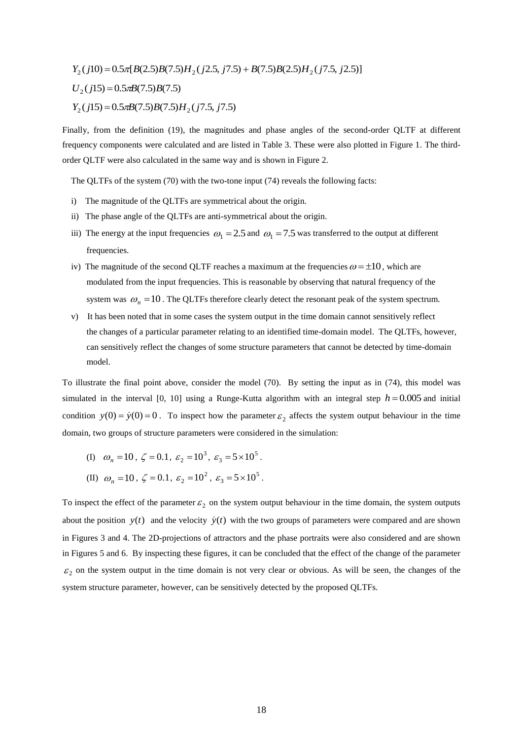$Y_2$ ( $j10$ ) = 0.5 $\pi$ [ $B$ (2.5) $B$ (7.5) $H_2$ ( $j2.5$ ,  $j7.5$ ) +  $B$ (7.5) $B$ (2.5) $H_2$ ( $j7.5$ ,  $j2.5$ )]  $U_2(j15) = 0.5 \pi B(7.5) B(7.5)$  $Y_2$  ( $j$ 15) = 0.5 $\pi$ B(7.5)B(7.5)H<sub>2</sub> ( $j$ 7.5,  $j$ 7.5)

Finally, from the definition (19), the magnitudes and phase angles of the second-order QLTF at different frequency components were calculated and are listed in Table 3. These were also plotted in Figure 1. The thirdorder QLTF were also calculated in the same way and is shown in Figure 2.

The QLTFs of the system (70) with the two-tone input (74) reveals the following facts:

- i) The magnitude of the QLTFs are symmetrical about the origin.
- ii) The phase angle of the QLTFs are anti-symmetrical about the origin.
- iii) The energy at the input frequencies  $\omega_1 = 2.5$  and  $\omega_1 = 7.5$  was transferred to the output at different frequencies.
- iv) The magnitude of the second QLTF reaches a maximum at the frequencies  $\omega = \pm 10$ , which are modulated from the input frequencies. This is reasonable by observing that natural frequency of the system was  $\omega_n = 10$ . The QLTFs therefore clearly detect the resonant peak of the system spectrum.
	- v) It has been noted that in some cases the system output in the time domain cannot sensitively reflect the changes of a particular parameter relating to an identified time-domain model. The QLTFs, however, can sensitively reflect the changes of some structure parameters that cannot be detected by time-domain model.

To illustrate the final point above, consider the model (70). By setting the input as in (74), this model was simulated in the interval  $[0, 10]$  using a Runge-Kutta algorithm with an integral step  $h = 0.005$  and initial condition  $y(0) = \dot{y}(0) = 0$ . To inspect how the parameter  $\varepsilon_2$  affects the system output behaviour in the time domain, two groups of structure parameters were considered in the simulation:

- (I)  $\omega_n = 10$ ,  $\zeta = 0.1$ ,  $\varepsilon_2 = 10^3$ ,  $\varepsilon_3 = 5 \times 10^5$ .
- (II)  $\omega_n = 10$ ,  $\zeta = 0.1$ ,  $\varepsilon_2 = 10^2$ ,  $\varepsilon_3 = 5 \times 10^5$ .

To inspect the effect of the parameter  $\varepsilon_2$  on the system output behaviour in the time domain, the system outputs about the position  $y(t)$  and the velocity  $\dot{y}(t)$  with the two groups of parameters were compared and are shown in Figures 3 and 4. The 2D-projections of attractors and the phase portraits were also considered and are shown in Figures 5 and 6. By inspecting these figures, it can be concluded that the effect of the change of the parameter  $\varepsilon_2$  on the system output in the time domain is not very clear or obvious. As will be seen, the changes of the system structure parameter, however, can be sensitively detected by the proposed QLTFs.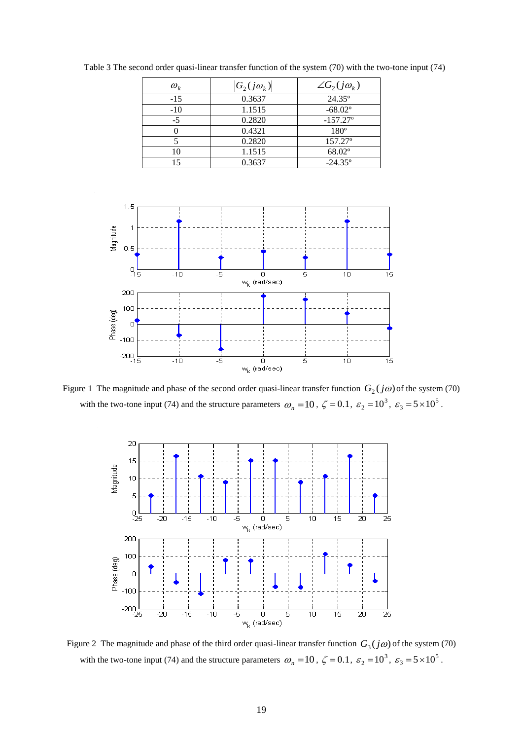| $\omega_{\iota}$ | $ G_2(j\omega_k) $ | $\angle G_2(j\omega_k)$ |
|------------------|--------------------|-------------------------|
| $-15$            | 0.3637             | $24.35^{\circ}$         |
| $-10$            | 1.1515             | $-68.02$ <sup>o</sup>   |
| $-5$             | 0.2820             | $-157.27$ °             |
|                  | 0.4321             | $180^\circ$             |
|                  | 0.2820             | 157.27°                 |
| 10               | 1.1515             | 68.02°                  |
| 15               | 0.3637             | $-24.35^{\circ}$        |

Table 3 The second order quasi-linear transfer function of the system (70) with the two-tone input (74)



Figure 1 The magnitude and phase of the second order quasi-linear transfer function  $G_2(j\omega)$  of the system (70) with the two-tone input (74) and the structure parameters  $\omega_n = 10$ ,  $\zeta = 0.1$ ,  $\varepsilon_2 = 10^3$ ,  $\varepsilon_3 = 5 \times 10^5$ .



Figure 2 The magnitude and phase of the third order quasi-linear transfer function  $G_3(j\omega)$  of the system (70) with the two-tone input (74) and the structure parameters  $\omega_n = 10$ ,  $\zeta = 0.1$ ,  $\varepsilon_2 = 10^3$ ,  $\varepsilon_3 = 5 \times 10^5$ .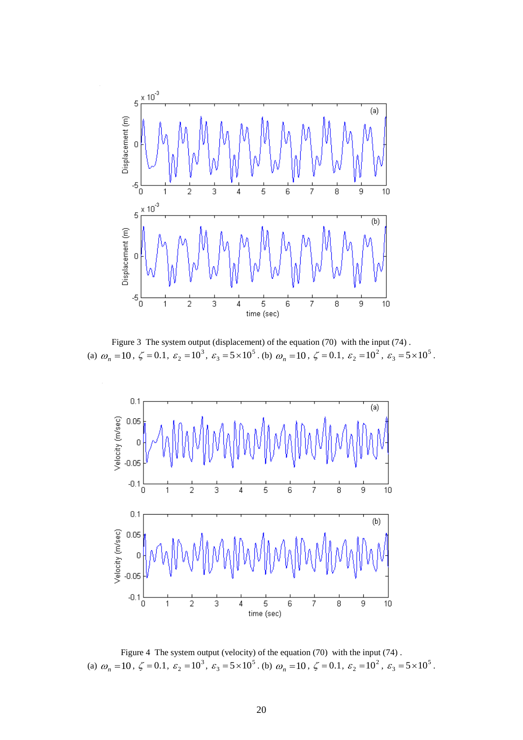

Figure 3 The system output (displacement) of the equation (70) with the input (74). (a)  $\omega_n = 10$ ,  $\zeta = 0.1$ ,  $\varepsilon_2 = 10^3$ ,  $\varepsilon_3 = 5 \times 10^5$ . (b)  $\omega_n = 10$ ,  $\zeta = 0.1$ ,  $\varepsilon_2 = 10^2$ ,  $\varepsilon_3 = 5 \times 10^5$ .



Figure 4 The system output (velocity) of the equation (70) with the input (74) . (a)  $\omega_n = 10$ ,  $\zeta = 0.1$ ,  $\varepsilon_2 = 10^3$ ,  $\varepsilon_3 = 5 \times 10^5$ . (b)  $\omega_n = 10$ ,  $\zeta = 0.1$ ,  $\varepsilon_2 = 10^2$ ,  $\varepsilon_3 = 5 \times 10^5$ .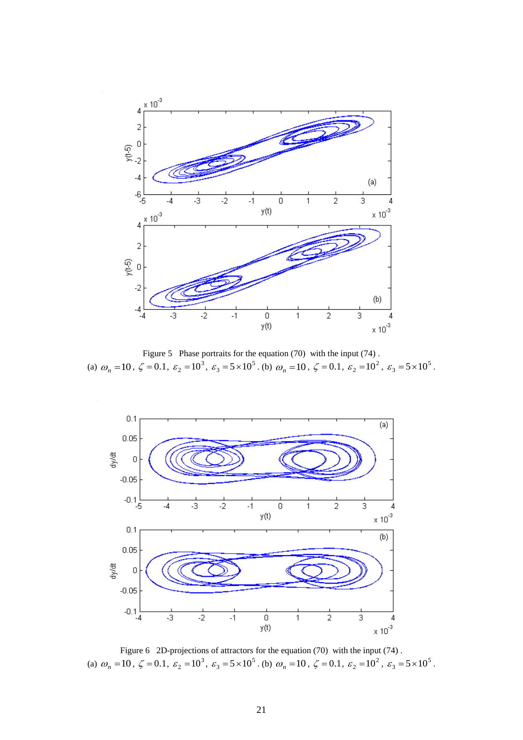

Figure 5 Phase portraits for the equation (70) with the input (74). (a)  $\omega_n = 10$ ,  $\zeta = 0.1$ ,  $\varepsilon_2 = 10^3$ ,  $\varepsilon_3 = 5 \times 10^5$ . (b)  $\omega_n = 10$ ,  $\zeta = 0.1$ ,  $\varepsilon_2 = 10^2$ ,  $\varepsilon_3 = 5 \times 10^5$ .



Figure 6 2D-projections of attractors for the equation (70) with the input (74). (a)  $\omega_n = 10$ ,  $\zeta = 0.1$ ,  $\varepsilon_2 = 10^3$ ,  $\varepsilon_3 = 5 \times 10^5$ . (b)  $\omega_n = 10$ ,  $\zeta = 0.1$ ,  $\varepsilon_2 = 10^2$ ,  $\varepsilon_3 = 5 \times 10^5$ .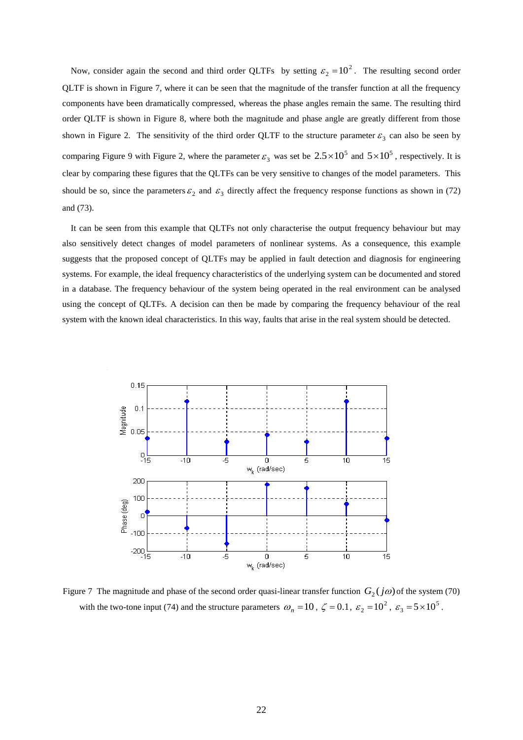Now, consider again the second and third order QLTFs by setting  $\varepsilon_2 = 10^2$ . The resulting second order QLTF is shown in Figure 7, where it can be seen that the magnitude of the transfer function at all the frequency components have been dramatically compressed, whereas the phase angles remain the same. The resulting third order QLTF is shown in Figure 8, where both the magnitude and phase angle are greatly different from those shown in Figure 2. The sensitivity of the third order QLTF to the structure parameter  $\varepsilon_3$  can also be seen by comparing Figure 9 with Figure 2, where the parameter  $\varepsilon_3$  was set be  $2.5 \times 10^5$  and  $5 \times 10^5$ , respectively. It is clear by comparing these figures that the QLTFs can be very sensitive to changes of the model parameters. This should be so, since the parameters  $\varepsilon_2$  and  $\varepsilon_3$  directly affect the frequency response functions as shown in (72) and (73).

It can be seen from this example that QLTFs not only characterise the output frequency behaviour but may also sensitively detect changes of model parameters of nonlinear systems. As a consequence, this example suggests that the proposed concept of QLTFs may be applied in fault detection and diagnosis for engineering systems. For example, the ideal frequency characteristics of the underlying system can be documented and stored in a database. The frequency behaviour of the system being operated in the real environment can be analysed using the concept of QLTFs. A decision can then be made by comparing the frequency behaviour of the real system with the known ideal characteristics. In this way, faults that arise in the real system should be detected.



Figure 7 The magnitude and phase of the second order quasi-linear transfer function  $G_2(j\omega)$  of the system (70) with the two-tone input (74) and the structure parameters  $\omega_n = 10$ ,  $\zeta = 0.1$ ,  $\varepsilon_2 = 10^2$ ,  $\varepsilon_3 = 5 \times 10^5$ .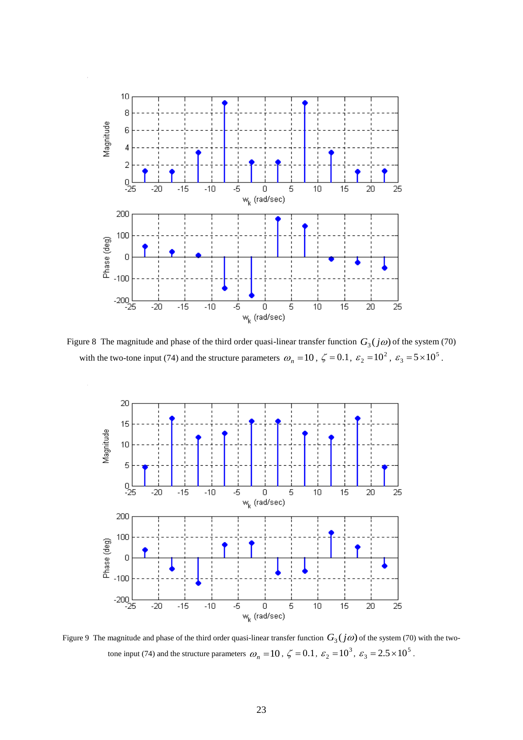

Figure 8 The magnitude and phase of the third order quasi-linear transfer function  $G_3(j\omega)$  of the system (70) with the two-tone input (74) and the structure parameters  $\omega_n = 10$ ,  $\zeta = 0.1$ ,  $\varepsilon_2 = 10^2$ ,  $\varepsilon_3 = 5 \times 10^5$ .



Figure 9 The magnitude and phase of the third order quasi-linear transfer function  $G_3(j\omega)$  of the system (70) with the twotone input (74) and the structure parameters  $\omega_n = 10$ ,  $\zeta = 0.1$ ,  $\varepsilon_2 = 10^3$ ,  $\varepsilon_3 = 2.5 \times 10^5$ .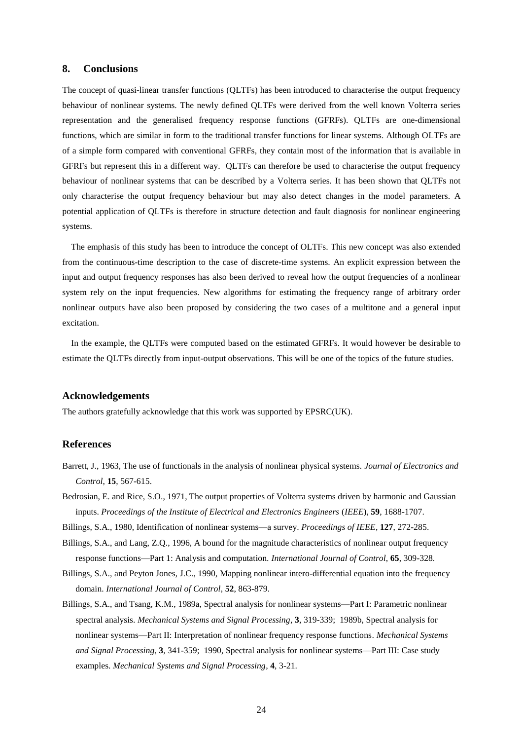### **8. Conclusions**

The concept of quasi-linear transfer functions (QLTFs) has been introduced to characterise the output frequency behaviour of nonlinear systems. The newly defined QLTFs were derived from the well known Volterra series representation and the generalised frequency response functions (GFRFs). QLTFs are one-dimensional functions, which are similar in form to the traditional transfer functions for linear systems. Although OLTFs are of a simple form compared with conventional GFRFs, they contain most of the information that is available in GFRFs but represent this in a different way. QLTFs can therefore be used to characterise the output frequency behaviour of nonlinear systems that can be described by a Volterra series. It has been shown that QLTFs not only characterise the output frequency behaviour but may also detect changes in the model parameters. A potential application of QLTFs is therefore in structure detection and fault diagnosis for nonlinear engineering systems.

 The emphasis of this study has been to introduce the concept of OLTFs. This new concept was also extended from the continuous-time description to the case of discrete-time systems. An explicit expression between the input and output frequency responses has also been derived to reveal how the output frequencies of a nonlinear system rely on the input frequencies. New algorithms for estimating the frequency range of arbitrary order nonlinear outputs have also been proposed by considering the two cases of a multitone and a general input excitation.

 In the example, the QLTFs were computed based on the estimated GFRFs. It would however be desirable to estimate the QLTFs directly from input-output observations. This will be one of the topics of the future studies.

#### **Acknowledgements**

The authors gratefully acknowledge that this work was supported by EPSRC(UK).

#### **References**

- Barrett, J., 1963, The use of functionals in the analysis of nonlinear physical systems. *Journal of Electronics and Control*, **15**, 567-615.
- Bedrosian, E. and Rice, S.O., 1971, The output properties of Volterra systems driven by harmonic and Gaussian inputs. *Proceedings of the Institute of Electrical and Electronics Engineers* (*IEEE*), **59**, 1688-1707.
- Billings, S.A., 1980, Identification of nonlinear systems—a survey. *Proceedings of IEEE*, **127**, 272-285.
- Billings, S.A., and Lang, Z.Q., 1996, A bound for the magnitude characteristics of nonlinear output frequency response functions—Part 1: Analysis and computation. *International Journal of Control*, **65**, 309-328.
- Billings, S.A., and Peyton Jones, J.C., 1990, Mapping nonlinear intero-differential equation into the frequency domain. *International Journal of Control*, **52**, 863-879.
- Billings, S.A., and Tsang, K.M., 1989a, Spectral analysis for nonlinear systems—Part I: Parametric nonlinear spectral analysis. *Mechanical Systems and Signal Processing*, **3**, 319-339; 1989b, Spectral analysis for nonlinear systems—Part II: Interpretation of nonlinear frequency response functions. *Mechanical Systems and Signal Processing*, **3**, 341-359; 1990, Spectral analysis for nonlinear systems—Part III: Case study examples. *Mechanical Systems and Signal Processing*, **4**, 3-21.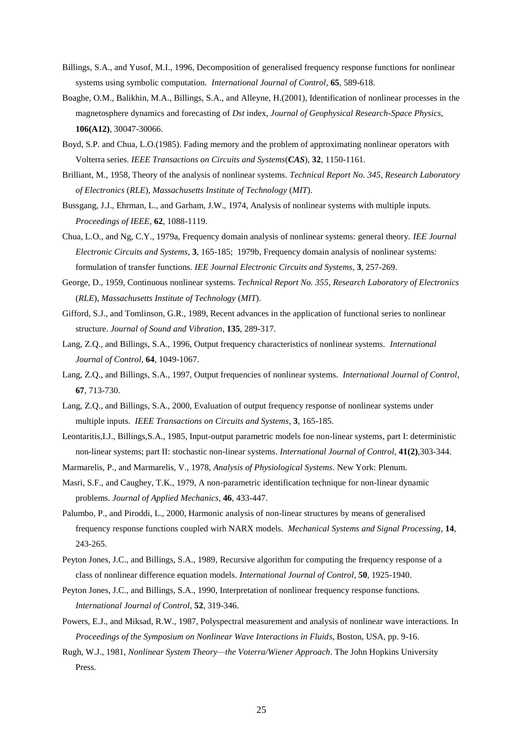- Billings, S.A., and Yusof, M.I., 1996, Decomposition of generalised frequency response functions for nonlinear systems using symbolic computation. *International Journal of Control*, **65**, 589-618.
- Boaghe, O.M., Balikhin, M.A., Billings, S.A., and Alleyne, H.(2001), Identification of nonlinear processes in the magnetosphere dynamics and forecasting of *Dst* index, *Journal of Geophysical Research-Space Physics*, **106(A12)**, 30047-30066.
- Boyd, S.P. and Chua, L.O.(1985). Fading memory and the problem of approximating nonlinear operators with Volterra series. *IEEE Transactions on Circuits and Systems*(*CAS*), **32**, 1150-1161.
- Brilliant, M., 1958, Theory of the analysis of nonlinear systems. *Technical Report No. 345*, *Research Laboratory of Electronics* (*RLE*), *Massachusetts Institute of Technology* (*MIT*).
- Bussgang, J.J., Ehrman, L., and Garham, J.W., 1974, Analysis of nonlinear systems with multiple inputs. *Proceedings of IEEE*, **62**, 1088-1119.
- Chua, L.O., and Ng, C.Y., 1979a, Frequency domain analysis of nonlinear systems: general theory. *IEE Journal Electronic Circuits and Systems*, **3**, 165-185; 1979b, Frequency domain analysis of nonlinear systems: formulation of transfer functions. *IEE Journal Electronic Circuits and Systems*, **3**, 257-269.
- George, D., 1959, Continuous nonlinear systems. *Technical Report No. 355*, *Research Laboratory of Electronics* (*RLE*), *Massachusetts Institute of Technology* (*MIT*).
- Gifford, S.J., and Tomlinson, G.R., 1989, Recent advances in the application of functional series to nonlinear structure. *Journal of Sound and Vibration*, **135**, 289-317.
- Lang, Z.Q., and Billings, S.A., 1996, Output frequency characteristics of nonlinear systems. *International Journal of Control*, **64**, 1049-1067.
- Lang, Z.Q., and Billings, S.A., 1997, Output frequencies of nonlinear systems. *International Journal of Control*, **67**, 713-730.
- Lang, Z.Q., and Billings, S.A., 2000, Evaluation of output frequency response of nonlinear systems under multiple inputs. *IEEE Transactions on Circuits and Systems*, **3**, 165-185.
- Leontaritis,I.J., Billings,S.A., 1985, Input-output parametric models foe non-linear systems, part I: deterministic non-linear systems; part II: stochastic non-linear systems. *International Journal of Control*, **41(2)**,303-344.
- Marmarelis, P., and Marmarelis, V., 1978, *Analysis of Physiological Systems*. New York: Plenum.
- Masri, S.F., and Caughey, T.K., 1979, A non-parametric identification technique for non-linear dynamic problems. *Journal of Applied Mechanics*, **46**, 433-447.
- Palumbo, P., and Piroddi, L., 2000, Harmonic analysis of non-linear structures by means of generalised frequency response functions coupled wirh NARX models. *Mechanical Systems and Signal Processing*, **14**, 243-265.
- Peyton Jones, J.C., and Billings, S.A., 1989, Recursive algorithm for computing the frequency response of a class of nonlinear difference equation models. *International Journal of Control*, **50**, 1925-1940.
- Peyton Jones, J.C., and Billings, S.A., 1990, Interpretation of nonlinear frequency response functions. *International Journal of Control*, **52**, 319-346.
- Powers, E.J., and Miksad, R.W., 1987, Polyspectral measurement and analysis of nonlinear wave interactions. In *Proceedings of the Symposium on Nonlinear Wave Interactions in Fluids*, Boston, USA, pp. 9-16.
- Rugh, W.J., 1981, *Nonlinear System Theory—the Voterra/Wiener Approach*. The John Hopkins University Press.